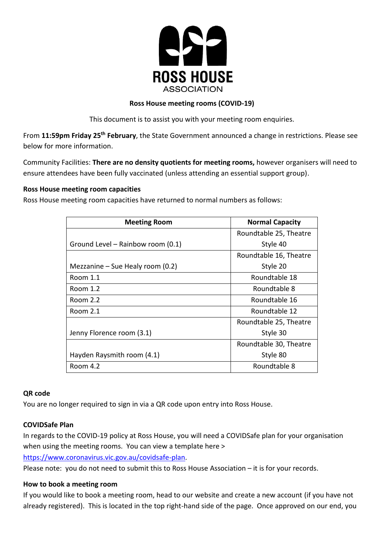

### **Ross House meeting rooms (COVID-19)**

This document is to assist you with your meeting room enquiries.

From **11:59pm Friday 25th February**, the State Government announced a change in restrictions. Please see below for more information.

Community Facilities: **There are no density quotients for meeting rooms,** however organisers will need to ensure attendees have been fully vaccinated (unless attending an essential support group).

# **Ross House meeting room capacities**

Ross House meeting room capacities have returned to normal numbers as follows:

| <b>Meeting Room</b>                | <b>Normal Capacity</b> |
|------------------------------------|------------------------|
|                                    | Roundtable 25, Theatre |
| Ground Level – Rainbow room (0.1)  | Style 40               |
|                                    | Roundtable 16, Theatre |
| Mezzanine – Sue Healy room $(0.2)$ | Style 20               |
| Room 1.1                           | Roundtable 18          |
| Room 1.2                           | Roundtable 8           |
| <b>Room 2.2</b>                    | Roundtable 16          |
| Room 2.1                           | Roundtable 12          |
|                                    | Roundtable 25, Theatre |
| Jenny Florence room (3.1)          | Style 30               |
|                                    | Roundtable 30, Theatre |
| Hayden Raysmith room (4.1)         | Style 80               |
| Room 4.2                           | Roundtable 8           |

### **QR code**

You are no longer required to sign in via a QR code upon entry into Ross House.

# **COVIDSafe Plan**

In regards to the COVID-19 policy at Ross House, you will need a COVIDSafe plan for your organisation when using the meeting rooms. You can view a template here >

[https://www.coronavirus.vic.gov.au/covidsafe-plan.](https://www.coronavirus.vic.gov.au/covidsafe-plan)

Please note: you do not need to submit this to Ross House Association – it is for your records.

### **How to book a meeting room**

If you would like to book a meeting room, head to our website and create a new account (if you have not already registered). This is located in the top right-hand side of the page. Once approved on our end, you